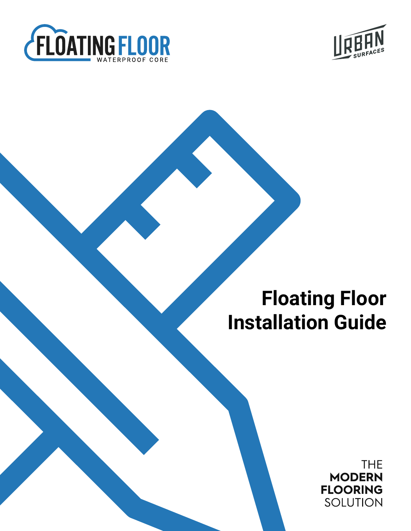



**THE MODERN FLOORING** SOLUTION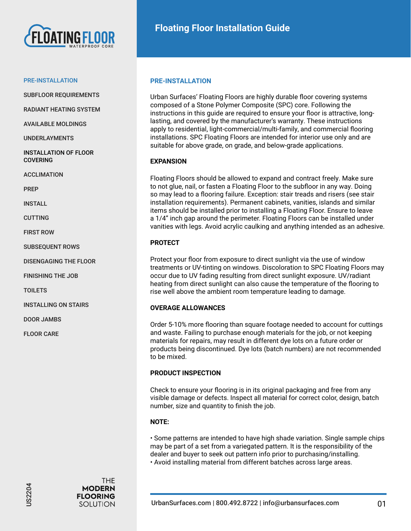

SUBFLOOR REQUIREMENTS

RADIANT HEATING SYSTEM

AVAILABLE MOLDINGS

UNDERLAYMENTS

INSTALLATION OF FLOOR COVERING

ACCLIMATION

PREP

INSTALL

CUTTING

FIRST ROW

SUBSEQUENT ROWS

DISENGAGING THE FLOOR

FINISHING THE JOB

**TOILETS** 

INSTALLING ON STAIRS

DOOR JAMBS

FLOOR CARE

# **PRE-INSTALLATION**

Urban Surfaces' Floating Floors are highly durable floor covering systems composed of a Stone Polymer Composite (SPC) core. Following the instructions in this guide are required to ensure your floor is attractive, longlasting, and covered by the manufacturer's warranty. These instructions apply to residential, light-commercial/multi-family, and commercial flooring installations. SPC Floating Floors are intended for interior use only and are suitable for above grade, on grade, and below-grade applications.

# **EXPANSION**

Floating Floors should be allowed to expand and contract freely. Make sure to not glue, nail, or fasten a Floating Floor to the subfloor in any way. Doing so may lead to a flooring failure. Exception: stair treads and risers (see stair installation requirements). Permanent cabinets, vanities, islands and similar items should be installed prior to installing a Floating Floor. Ensure to leave a 1/4" inch gap around the perimeter. Floating Floors can be installed under vanities with legs. Avoid acrylic caulking and anything intended as an adhesive.

# **PROTECT**

Protect your floor from exposure to direct sunlight via the use of window treatments or UV-tinting on windows. Discoloration to SPC Floating Floors may occur due to UV fading resulting from direct sunlight exposure. UV/radiant heating from direct sunlight can also cause the temperature of the flooring to rise well above the ambient room temperature leading to damage.

# **OVERAGE ALLOWANCES**

Order 5-10% more flooring than square footage needed to account for cuttings and waste. Failing to purchase enough materials for the job, or not keeping materials for repairs, may result in different dye lots on a future order or products being discontinued. Dye lots (batch numbers) are not recommended to be mixed.

# **PRODUCT INSPECTION**

Check to ensure your flooring is in its original packaging and free from any visible damage or defects. Inspect all material for correct color, design, batch number, size and quantity to finish the job.

# **NOTE:**

• Some patterns are intended to have high shade variation. Single sample chips may be part of a set from a variegated pattern. It is the responsibility of the dealer and buyer to seek out pattern info prior to purchasing/installing. • Avoid installing material from different batches across large areas.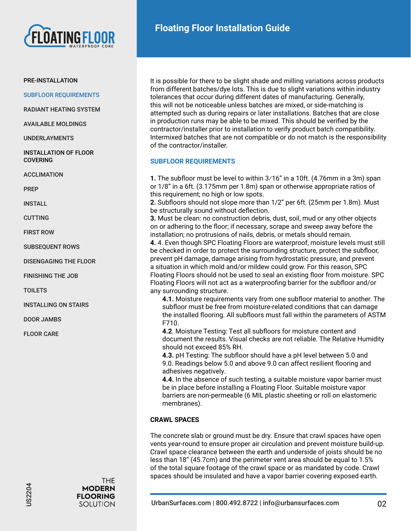

SUBFLOOR REQUIREMENTS

RADIANT HEATING SYSTEM

AVAILABLE MOLDINGS

UNDERLAYMENTS

INSTALLATION OF FLOOR COVERING

ACCLIMATION

PREP

INSTALL

CUTTING

FIRST ROW

SUBSEQUENT ROWS

DISENGAGING THE FLOOR

FINISHING THE JOB

**TOILETS** 

INSTALLING ON STAIRS

DOOR JAMBS

FLOOR CARE

It is possible for there to be slight shade and milling variations across products from different batches/dye lots. This is due to slight variations within industry tolerances that occur during different dates of manufacturing. Generally, this will not be noticeable unless batches are mixed, or side-matching is attempted such as during repairs or later installations. Batches that are close in production runs may be able to be mixed. This should be verified by the contractor/installer prior to installation to verify product batch compatibility. Intermixed batches that are not compatible or do not match is the responsibility of the contractor/installer.

# **SUBFLOOR REQUIREMENTS**

**1.** The subfloor must be level to within 3⁄16" in a 10ft. (4.76mm in a 3m) span or 1/8" in a 6ft. (3.175mm per 1.8m) span or otherwise appropriate ratios of this requirement; no high or low spots.

**2.** Subfloors should not slope more than 1/2" per 6ft. (25mm per 1.8m). Must be structurally sound without deflection.

**3.** Must be clean: no construction debris, dust, soil, mud or any other objects on or adhering to the floor; if necessary, scrape and sweep away before the installation; no protrusions of nails, debris, or metals should remain.

**4.** 4. Even though SPC Floating Floors are waterproof, moisture levels must still be checked in order to protect the surrounding structure, protect the subfloor, prevent pH damage, damage arising from hydrostatic pressure, and prevent a situation in which mold and/or mildew could grow. For this reason, SPC Floating Floors should not be used to seal an existing floor from moisture. SPC Floating Floors will not act as a waterproofing barrier for the subfloor and/or any surrounding structure.

**4.1.** Moisture requirements vary from one subfloor material to another. The subfloor must be free from moisture-related conditions that can damage the installed flooring. All subfloors must fall within the parameters of ASTM F710.

**4.2**. Moisture Testing: Test all subfloors for moisture content and document the results. Visual checks are not reliable. The Relative Humidity should not exceed 85% RH.

**4.3.** pH Testing: The subfloor should have a pH level between 5.0 and 9.0. Readings below 5.0 and above 9.0 can affect resilient flooring and adhesives negatively.

**4.4.** In the absence of such testing, a suitable moisture vapor barrier must be in place before installing a Floating Floor. Suitable moisture vapor barriers are non-permeable (6 MIL plastic sheeting or roll on elastomeric membranes).

# **CRAWL SPACES**

The concrete slab or ground must be dry. Ensure that crawl spaces have open vents year-round to ensure proper air circulation and prevent moisture build-up. Crawl space clearance between the earth and underside of joists should be no less than 18" (45.7cm) and the perimeter vent area should be equal to 1.5% of the total square footage of the crawl space or as mandated by code. Crawl spaces should be insulated and have a vapor barrier covering exposed earth.

**THE MODERN**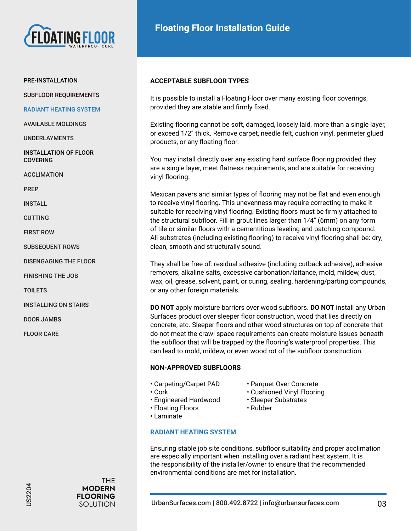

# PRE-INSTALLATION

SUBFLOOR REQUIREMENTS

#### RADIANT HEATING SYSTEM

AVAILABLE MOLDINGS

UNDERLAYMENTS

INSTALLATION OF FLOOR **COVERING** 

ACCLIMATION

PREP

INSTALL

CUTTING

FIRST ROW

SUBSEQUENT ROWS

DISENGAGING THE FLOOR

FINISHING THE JOB

**TOILETS** 

INSTALLING ON STAIRS

DOOR JAMBS

FLOOR CARE

# **ACCEPTABLE SUBFLOOR TYPES**

It is possible to install a Floating Floor over many existing floor coverings, provided they are stable and firmly fixed.

Existing flooring cannot be soft, damaged, loosely laid, more than a single layer, or exceed 1/2" thick. Remove carpet, needle felt, cushion vinyl, perimeter glued products, or any floating floor.

You may install directly over any existing hard surface flooring provided they are a single layer, meet flatness requirements, and are suitable for receiving vinyl flooring.

Mexican pavers and similar types of flooring may not be flat and even enough to receive vinyl flooring. This unevenness may require correcting to make it suitable for receiving vinyl flooring. Existing floors must be firmly attached to the structural subfloor. Fill in grout lines larger than 1⁄4" (6mm) on any form of tile or similar floors with a cementitious leveling and patching compound. All substrates (including existing flooring) to receive vinyl flooring shall be: dry, clean, smooth and structurally sound.

They shall be free of: residual adhesive (including cutback adhesive), adhesive removers, alkaline salts, excessive carbonation/laitance, mold, mildew, dust, wax, oil, grease, solvent, paint, or curing, sealing, hardening/parting compounds, or any other foreign materials.

**DO NOT** apply moisture barriers over wood subfloors. **DO NOT** install any Urban Surfaces product over sleeper floor construction, wood that lies directly on concrete, etc. Sleeper floors and other wood structures on top of concrete that do not meet the crawl space requirements can create moisture issues beneath the subfloor that will be trapped by the flooring's waterproof properties. This can lead to mold, mildew, or even wood rot of the subfloor construction.

# **NON-APPROVED SUBFLOORS**

- Carpeting/Carpet PAD Parquet Over Concrete
- 
- Engineered Hardwood Sleeper Substrates
- 
- Cork Cushioned Vinyl Flooring
	-
- Floating Floors Rubber
- Laminate

# **RADIANT HEATING SYSTEM**

Ensuring stable job site conditions, subfloor suitability and proper acclimation are especially important when installing over a radiant heat system. It is the responsibility of the installer/owner to ensure that the recommended environmental conditions are met for installation.

**THE**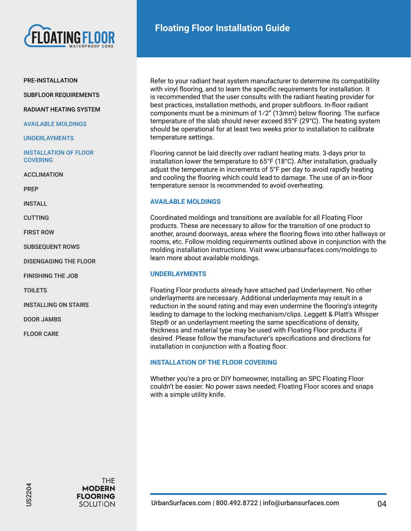

SUBFLOOR REQUIREMENTS

RADIANT HEATING SYSTEM

AVAILABLE MOLDINGS

UNDERLAYMENTS

INSTALLATION OF FLOOR **COVERING** 

ACCLIMATION

PREP

INSTALL

CUTTING

FIRST ROW

SUBSEQUENT ROWS

DISENGAGING THE FLOOR

FINISHING THE JOB

**TOILETS** 

INSTALLING ON STAIRS

DOOR JAMBS

FLOOR CARE

Refer to your radiant heat system manufacturer to determine its compatibility with vinyl flooring, and to learn the specific requirements for installation. It is recommended that the user consults with the radiant heating provider for best practices, installation methods, and proper subfloors. In-floor radiant components must be a minimum of 1⁄2" (13mm) below flooring. The surface temperature of the slab should never exceed 85°F (29°C). The heating system should be operational for at least two weeks prior to installation to calibrate temperature settings.

Flooring cannot be laid directly over radiant heating mats. 3-days prior to installation lower the temperature to 65°F (18°C). After installation, gradually adjust the temperature in increments of 5°F per day to avoid rapidly heating and cooling the flooring which could lead to damage. The use of an in-floor temperature sensor is recommended to avoid overheating.

# **AVAILABLE MOLDINGS**

Coordinated moldings and transitions are available for all Floating Floor products. These are necessary to allow for the transition of one product to another, around doorways, areas where the flooring flows into other hallways or rooms, etc. Follow molding requirements outlined above in conjunction with the molding installation instructions. Visit www.urbansurfaces.com/moldings to learn more about available moldings.

# **UNDERLAYMENTS**

Floating Floor products already have attached pad Underlayment. No other underlayments are necessary. Additional underlayments may result in a reduction in the sound rating and may even undermine the flooring's integrity leading to damage to the locking mechanism/clips. Leggett & Platt's Whisper Step® or an underlayment meeting the same specifications of density, thickness and material type may be used with Floating Floor products if desired. Please follow the manufacturer's specifications and directions for installation in conjunction with a floating floor.

# **INSTALLATION OF THE FLOOR COVERING**

Whether you're a pro or DIY homeowner, installing an SPC Floating Floor couldn't be easier. No power saws needed; Floating Floor scores and snaps with a simple utility knife.

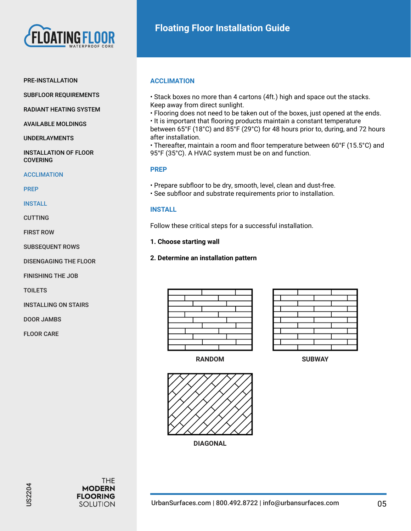

#### PRE-INSTALLATION

SUBFLOOR REQUIREMENTS

RADIANT HEATING SYSTEM

AVAILABLE MOLDINGS

UNDERLAYMENTS

INSTALLATION OF FLOOR COVERING

#### **ACCLIMATION**

PREP

INSTALL

CUTTING

FIRST ROW

SUBSEQUENT ROWS

DISENGAGING THE FLOOR

FINISHING THE JOB

**TOILETS** 

INSTALLING ON STAIRS

DOOR JAMBS

FLOOR CARE

# **ACCLIMATION**

• Stack boxes no more than 4 cartons (4ft.) high and space out the stacks. Keep away from direct sunlight.

• Flooring does not need to be taken out of the boxes, just opened at the ends. • It is important that flooring products maintain a constant temperature

between 65°F (18°C) and 85°F (29°C) for 48 hours prior to, during, and 72 hours after installation.

• Thereafter, maintain a room and floor temperature between 60°F (15.5°C) and 95°F (35°C). A HVAC system must be on and function.

# **PREP**

- Prepare subfloor to be dry, smooth, level, clean and dust-free.
- See subfloor and substrate requirements prior to installation.

# **INSTALL**

Follow these critical steps for a successful installation.

**1. Choose starting wall**

# **2. Determine an installation pattern**



**RANDOM SUBWAY**





**DIAGONAL**

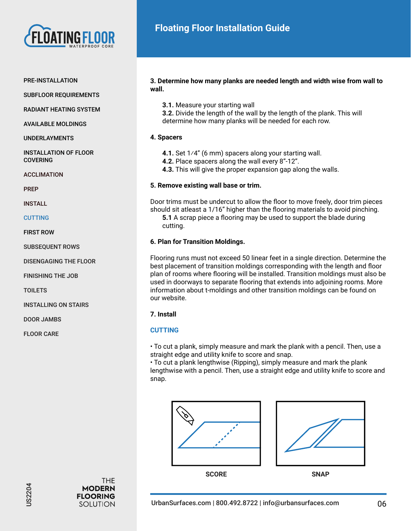

#### PRE-INSTALLATION

SUBFLOOR REQUIREMENTS

RADIANT HEATING SYSTEM

AVAILABLE MOLDINGS

UNDERLAYMENTS

INSTALLATION OF FLOOR COVERING

ACCLIMATION

PREP

INSTALL

**CUTTING** 

FIRST ROW

SUBSEQUENT ROWS

DISENGAGING THE FLOOR

FINISHING THE JOB

**TOILETS** 

INSTALLING ON STAIRS

DOOR JAMBS

FLOOR CARE

# **3. Determine how many planks are needed length and width wise from wall to wall.**

**3.1.** Measure your starting wall

**3.2.** Divide the length of the wall by the length of the plank. This will determine how many planks will be needed for each row.

# **4. Spacers**

**4.1.** Set 1⁄4" (6 mm) spacers along your starting wall.

**4.2.** Place spacers along the wall every 8"-12".

**4.3.** This will give the proper expansion gap along the walls.

# **5. Remove existing wall base or trim.**

Door trims must be undercut to allow the floor to move freely, door trim pieces should sit atleast a 1/16" higher than the flooring materials to avoid pinching. **5.1** A scrap piece a flooring may be used to support the blade during cutting.

# **6. Plan for Transition Moldings.**

Flooring runs must not exceed 50 linear feet in a single direction. Determine the best placement of transition moldings corresponding with the length and floor plan of rooms where flooring will be installed. Transition moldings must also be used in doorways to separate flooring that extends into adjoining rooms. More information about t-moldings and other transition moldings can be found on our website.

# **7. Install**

# **CUTTING**

• To cut a plank, simply measure and mark the plank with a pencil. Then, use a straight edge and utility knife to score and snap.

• To cut a plank lengthwise (Ripping), simply measure and mark the plank lengthwise with a pencil. Then, use a straight edge and utility knife to score and snap.



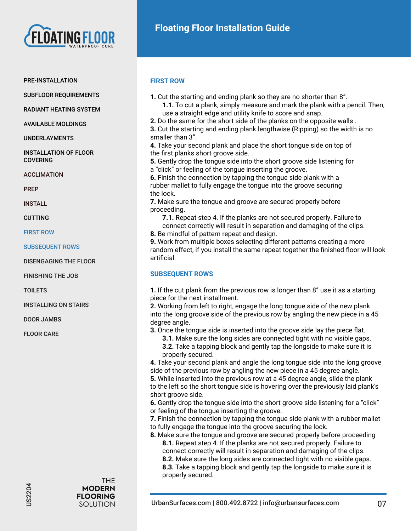

SUBFLOOR REQUIREMENTS

RADIANT HEATING SYSTEM

AVAILABLE MOLDINGS

UNDERLAYMENTS

INSTALLATION OF FLOOR COVERING

ACCLIMATION

PREP

INSTALL

CUTTING

FIRST ROW

SUBSEQUENT ROWS

DISENGAGING THE FLOOR

FINISHING THE JOB

**TOILETS** 

INSTALLING ON STAIRS

DOOR JAMBS

FLOOR CARE

# **FIRST ROW**

**1.1.** To cut a plank, simply measure and mark the plank with a pencil. Then, use a straight edge and utility knife to score and snap. **2.** Do the same for the short side of the planks on the opposite walls . **3.** Cut the starting and ending plank lengthwise (Ripping) so the width is no smaller than 3". **4.** Take your second plank and place the short tongue side on top of the first planks short groove side. **5.** Gently drop the tongue side into the short groove side listening for a "click" or feeling of the tongue inserting the groove. **6.** Finish the connection by tapping the tongue side plank with a rubber mallet to fully engage the tongue into the groove securing the lock. **7.** Make sure the tongue and groove are secured properly before proceeding. **7.1.** Repeat step 4. If the planks are not secured properly. Failure to connect correctly will result in separation and damaging of the clips. **8.** Be mindful of pattern repeat and design. **9.** Work from multiple boxes selecting different patterns creating a more random effect, if you install the same repeat together the finished floor will look artificial. **SUBSEQUENT ROWS 1.** If the cut plank from the previous row is longer than 8" use it as a starting

**1.** Cut the starting and ending plank so they are no shorter than 8".

piece for the next installment. **2.** Working from left to right, engage the long tongue side of the new plank

into the long groove side of the previous row by angling the new piece in a 45 degree angle.

**3.** Once the tongue side is inserted into the groove side lay the piece flat.

**3.1.** Make sure the long sides are connected tight with no visible gaps. **3.2.** Take a tapping block and gently tap the longside to make sure it is properly secured.

**4.** Take your second plank and angle the long tongue side into the long groove side of the previous row by angling the new piece in a 45 degree angle.

**5.** While inserted into the previous row at a 45 degree angle, slide the plank

to the left so the short tongue side is hovering over the previously laid plank's short groove side.

**6.** Gently drop the tongue side into the short groove side listening for a "click" or feeling of the tongue inserting the groove.

- **7.** Finish the connection by tapping the tongue side plank with a rubber mallet
- to fully engage the tongue into the groove securing the lock.
- **8.** Make sure the tongue and groove are secured properly before proceeding **8.1.** Repeat step 4. If the planks are not secured properly. Failure to connect correctly will result in separation and damaging of the clips. **8.2.** Make sure the long sides are connected tight with no visible gaps.

**8.3.** Take a tapping block and gently tap the longside to make sure it is properly secured.

**THE** 

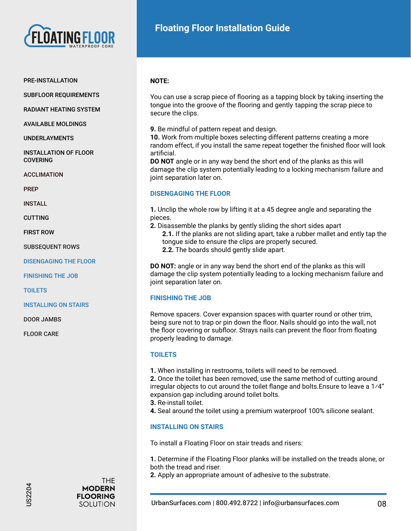

# PRE-INSTALLATION

SUBFLOOR REQUIREMENTS

RADIANT HEATING SYSTEM

AVAILABLE MOLDINGS

UNDERLAYMENTS

INSTALLATION OF FLOOR **COVERING** 

**ACCLIMATION** 

PREP

INSTALL

CUTTING

FIRST ROW

SUBSEQUENT ROWS

DISENGAGING THE FLOOR

FINISHING THE JOB

**TOILETS** 

INSTALLING ON STAIRS

DOOR JAMBS

FLOOR CARE

**THE MODERN FLOORING** SOLUTION

# **NOTE:**

You can use a scrap piece of flooring as a tapping block by taking inserting the tongue into the groove of the flooring and gently tapping the scrap piece to secure the clips.

**9.** Be mindful of pattern repeat and design.

**10.** Work from multiple boxes selecting different patterns creating a more random effect, if you install the same repeat together the finished floor will look artificial.

**DO NOT** angle or in any way bend the short end of the planks as this will damage the clip system potentially leading to a locking mechanism failure and joint separation later on.

# **DISENGAGING THE FLOOR**

**1.** Unclip the whole row by lifting it at a 45 degree angle and separating the pieces.

**2.** Disassemble the planks by gently sliding the short sides apart **2.1.** If the planks are not sliding apart, take a rubber mallet and ently tap the tongue side to ensure the clips are properly secured. **2.2.** The boards should gently slide apart.

**DO NOT:** angle or in any way bend the short end of the planks as this will damage the clip system potentially leading to a locking mechanism failure and joint separation later on.

# **FINISHING THE JOB**

Remove spacers. Cover expansion spaces with quarter round or other trim, being sure not to trap or pin down the floor. Nails should go into the wall, not the floor covering or subfloor. Strays nails can prevent the floor from floating properly leading to damage.

# **TOILETS**

**1.** When installing in restrooms, toilets will need to be removed.

**2.** Once the toilet has been removed, use the same method of cutting around irregular objects to cut around the toilet flange and bolts.Ensure to leave a 1⁄4" expansion gap including around toilet bolts.

- **3.** Re-install toilet.
- **4.** Seal around the toilet using a premium waterproof 100% silicone sealant.

# **INSTALLING ON STAIRS**

To install a Floating Floor on stair treads and risers:

**1.** Determine if the Floating Floor planks will be installed on the treads alone, or both the tread and riser.

**2.** Apply an appropriate amount of adhesive to the substrate.

US2204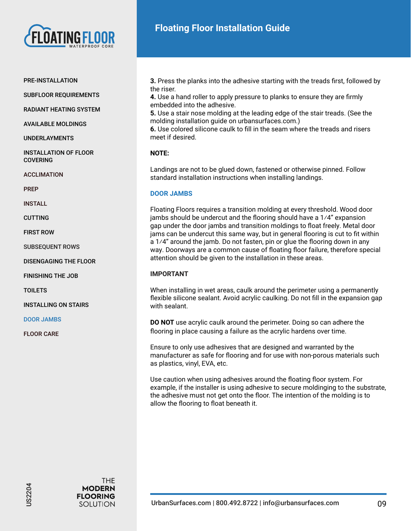

#### PRE-INSTALLATION

SUBFLOOR REQUIREMENTS

RADIANT HEATING SYSTEM

AVAILABLE MOLDINGS

UNDERLAYMENTS

INSTALLATION OF FLOOR **COVERING** 

ACCLIMATION

PREP

INSTALL

CUTTING

FIRST ROW

SUBSEQUENT ROWS

DISENGAGING THE FLOOR

FINISHING THE JOB

TOILETS

INSTALLING ON STAIRS

DOOR JAMBS

FLOOR CARE

**3.** Press the planks into the adhesive starting with the treads first, followed by the riser.

**4.** Use a hand roller to apply pressure to planks to ensure they are firmly embedded into the adhesive.

**5.** Use a stair nose molding at the leading edge of the stair treads. (See the molding installation guide on urbansurfaces.com.)

**6.** Use colored silicone caulk to fill in the seam where the treads and risers meet if desired.

# **NOTE:**

Landings are not to be glued down, fastened or otherwise pinned. Follow standard installation instructions when installing landings.

# **DOOR JAMBS**

Floating Floors requires a transition molding at every threshold. Wood door jambs should be undercut and the flooring should have a 1⁄4" expansion gap under the door jambs and transition moldings to float freely. Metal door jams can be undercut this same way, but in general flooring is cut to fit within a 1⁄4" around the jamb. Do not fasten, pin or glue the flooring down in any way. Doorways are a common cause of floating floor failure, therefore special attention should be given to the installation in these areas.

# **IMPORTANT**

When installing in wet areas, caulk around the perimeter using a permanently flexible silicone sealant. Avoid acrylic caulking. Do not fill in the expansion gap with sealant.

**DO NOT** use acrylic caulk around the perimeter. Doing so can adhere the flooring in place causing a failure as the acrylic hardens over time.

Ensure to only use adhesives that are designed and warranted by the manufacturer as safe for flooring and for use with non-porous materials such as plastics, vinyl, EVA, etc.

Use caution when using adhesives around the floating floor system. For example, if the installer is using adhesive to secure moldinging to the substrate, the adhesive must not get onto the floor. The intention of the molding is to allow the flooring to float beneath it.